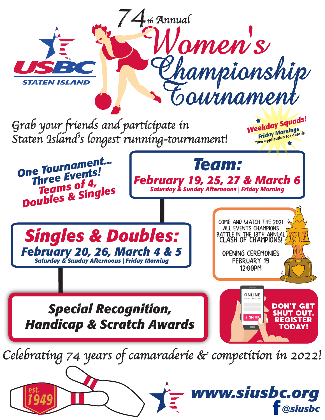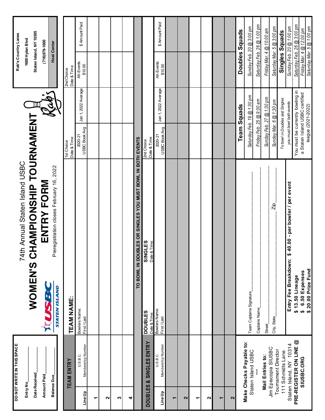|                          | DO NOT WRITE IN THIS SPACE               |                                               | 74th Annual Staten Island USBC                             |                           |                                                                    | Rab's Country Lanes                                    |                |
|--------------------------|------------------------------------------|-----------------------------------------------|------------------------------------------------------------|---------------------------|--------------------------------------------------------------------|--------------------------------------------------------|----------------|
| Entry No.                |                                          |                                               | WOMEN'S CHAMPIONSHIP TOURNAMENT                            |                           |                                                                    | 1600 Hylan Blvd                                        |                |
|                          | Date Received                            |                                               |                                                            |                           |                                                                    | Staten Island, NY 10305                                |                |
| Amount Paid              |                                          | SS3<br>$\frac{1}{2}$                          | ENTRY FORM                                                 |                           |                                                                    | $(718)979 - 1600$                                      |                |
| <b>Balance Due</b>       |                                          | <b>STATEN ISLAND</b>                          | Preregistration closes February 16, 2022                   |                           |                                                                    | <b>Host Center</b>                                     |                |
|                          |                                          |                                               |                                                            |                           |                                                                    |                                                        |                |
|                          | <b>TEAM ENTRY</b>                        | TEAM NAME:                                    |                                                            | Date & Time<br>1st Choice |                                                                    | Date & Time<br>2nd Choice                              |                |
| Line Up                  | Membership Number<br>U.S.B.C.            | Bowlers Name:<br>First/Last                   |                                                            | USBC Book Avg<br>2020-21  | Jan 1, 2022 Average                                                | All-Events<br>\$10.00                                  | \$ Amount Paid |
| ᠇                        |                                          |                                               |                                                            |                           |                                                                    |                                                        |                |
| $\mathbf{\Omega}$        |                                          |                                               |                                                            |                           |                                                                    |                                                        |                |
| S                        |                                          |                                               |                                                            |                           |                                                                    |                                                        |                |
| 4                        |                                          |                                               |                                                            |                           |                                                                    |                                                        |                |
|                          |                                          |                                               | TO BOWL IN DOUBLES OR SINGLES YOU MUST BOWL IN BOTH EVENTS |                           |                                                                    |                                                        |                |
| <b>DOUBLES</b>           | <b>SINGLES ENTRY</b><br>×                | <b>DOUBLES</b><br>Date & Time:                | <b>SINGLES</b><br>Date & Time:                             | Date & Time<br>2nd Choice |                                                                    |                                                        |                |
| Line Up                  | Membership Number<br>U.S.B.C.            | Bowlers Name:<br>First / Last                 |                                                            | USBC Book Avg<br>2020-21  | Jan 1, 2022 Average                                                | All-Events<br>\$10.00                                  | \$ Amount Paid |
| $\blacktriangledown$     |                                          |                                               |                                                            |                           |                                                                    |                                                        |                |
| 2                        |                                          |                                               |                                                            |                           |                                                                    |                                                        |                |
| ٣                        |                                          |                                               |                                                            |                           |                                                                    |                                                        |                |
| $\mathbf{\Omega}$        |                                          |                                               |                                                            |                           |                                                                    |                                                        |                |
| $\overline{\phantom{0}}$ |                                          |                                               |                                                            |                           |                                                                    |                                                        |                |
| $\mathbf{\Omega}$        |                                          |                                               |                                                            |                           |                                                                    |                                                        |                |
|                          | Make Checks Payable to:                  |                                               |                                                            |                           | <b>Team Squads</b>                                                 | Doubles Squads                                         |                |
|                          | Staten Island USBC                       | Team Captains Signature                       |                                                            |                           | Saturday Feb. 19 @ 1:30 pm                                         | Sunday Feb. 20 @ 3:00 pm                               |                |
|                          |                                          | Captains Name                                 |                                                            |                           | Friday Feb. 25 @ 9:30 am                                           | Saturday Feb. 26 @ 1:00 pm                             |                |
|                          | Jim Episcopia SIUSBC<br>Mail Entries to: | Street                                        |                                                            |                           | Sunday Feb. 27 @ 1:30 pm                                           | Friday Mar. 4 @ 10:00 am                               |                |
|                          | <b>Tournament Director</b>               | City, State                                   | Zip                                                        |                           | Sunday Mar. 6 @ 1:30 pm                                            | Saturday Mar. 5 @ 3:00 pm                              |                |
|                          | 111 Schmidts Lane                        |                                               |                                                            |                           | To bowl in Doubles and Singles                                     | Singles Squads                                         |                |
|                          | Staten Island, NY 10314                  | Entry Fee Breakdown: \$                       | 40.00 - per bowler / per event                             |                           | you must bowl both events                                          | Sunday Feb. 20 @ 1:00 pm                               |                |
|                          | PRE-REGISTER ON LINE @<br>SIUSBC.ORG     | 6.50 Expenses<br>\$13.50 Lineage<br>$\bullet$ |                                                            |                           | You must be currently bowling in<br>a Staten Island USBC certified | Saturday Feb. 26 @ 3:00 pm<br>Friday Mar. 4 @ 12:00 pm |                |
|                          |                                          | \$20.00 Prize Fund                            |                                                            |                           | league (2021-2022)                                                 | Saturday Mar. 5 @ 1:00 pm                              |                |